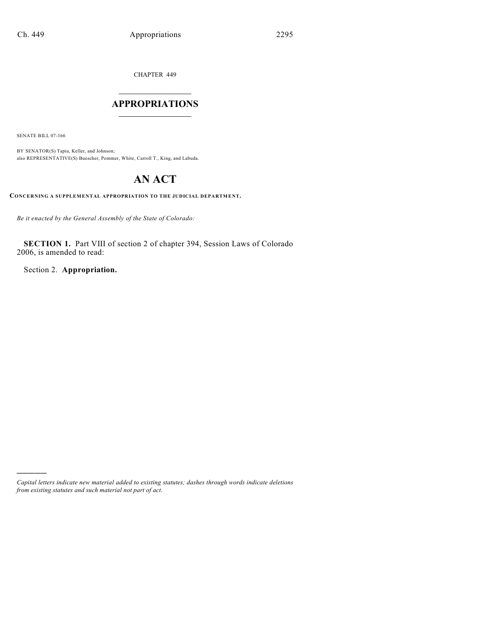CHAPTER 449

## $\mathcal{L}_\text{max}$  . The set of the set of the set of the set of the set of the set of the set of the set of the set of the set of the set of the set of the set of the set of the set of the set of the set of the set of the set **APPROPRIATIONS**  $\_$   $\_$   $\_$   $\_$   $\_$   $\_$   $\_$   $\_$

SENATE BILL 07-166

)))))

BY SENATOR(S) Tapia, Keller, and Johnson; also REPRESENTATIVE(S) Buescher, Pommer, White, Carroll T., King, and Labuda.

# **AN ACT**

**CONCERNING A SUPPLEMENTAL APPROPRIATION TO THE JUDICIAL DEPARTMENT.**

*Be it enacted by the General Assembly of the State of Colorado:*

**SECTION 1.** Part VIII of section 2 of chapter 394, Session Laws of Colorado 2006, is amended to read:

Section 2. **Appropriation.**

*Capital letters indicate new material added to existing statutes; dashes through words indicate deletions from existing statutes and such material not part of act.*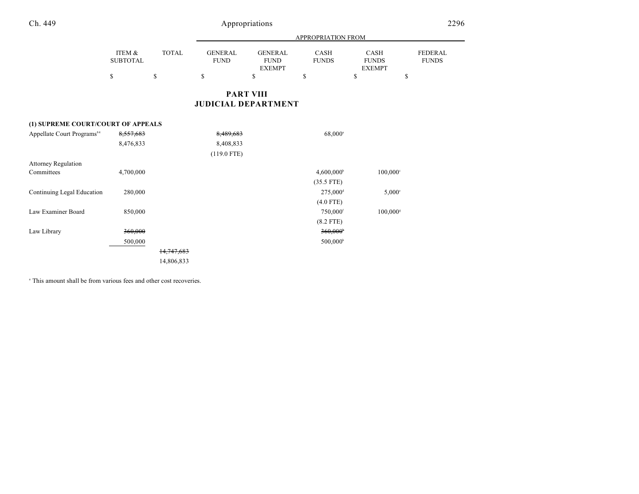|                 |       | APPROPRIATION FROM |                |              |               |                |  |  |
|-----------------|-------|--------------------|----------------|--------------|---------------|----------------|--|--|
| ITEM &          | TOTAL | GENERAL            | <b>GENERAL</b> | CASH         | CASH          | <b>FEDERAL</b> |  |  |
| <b>SUBTOTAL</b> |       | <b>FUND</b>        | <b>FUND</b>    | <b>FUNDS</b> | <b>FUNDS</b>  | <b>FUNDS</b>   |  |  |
|                 |       |                    | <b>EXEMPT</b>  |              | <b>EXEMPT</b> |                |  |  |
| S               |       |                    |                |              |               |                |  |  |

## **PART VIII JUDICIAL DEPARTMENT**

## **(1) SUPREME COURT/COURT OF APPEALS**

| Appellate Court Programs <sup>84</sup> | 8,557,683 |            | 8,489,683     | $68,000^{\circ}$         |                        |
|----------------------------------------|-----------|------------|---------------|--------------------------|------------------------|
|                                        | 8,476,833 |            | 8,408,833     |                          |                        |
|                                        |           |            | $(119.0$ FTE) |                          |                        |
| <b>Attorney Regulation</b>             |           |            |               |                          |                        |
| Committees                             | 4,700,000 |            |               | $4,600,000$ <sup>b</sup> | $100,000$ <sup>c</sup> |
|                                        |           |            |               | $(35.5$ FTE)             |                        |
| Continuing Legal Education             | 280,000   |            |               | $275,000$ <sup>d</sup>   | $5,000^\circ$          |
|                                        |           |            |               | $(4.0$ FTE)              |                        |
| Law Examiner Board                     | 850,000   |            |               | $750,000$ <sup>f</sup>   | $100,000$ <sup>s</sup> |
|                                        |           |            |               | $(8.2$ FTE)              |                        |
| Law Library                            | 360,000   |            |               | $360,000$ <sup>*</sup>   |                        |
|                                        | 500,000   |            |               | $500,000$ <sup>h</sup>   |                        |
|                                        |           | 14,747,683 |               |                          |                        |
|                                        |           | 14,806,833 |               |                          |                        |

<sup>a</sup> This amount shall be from various fees and other cost recoveries.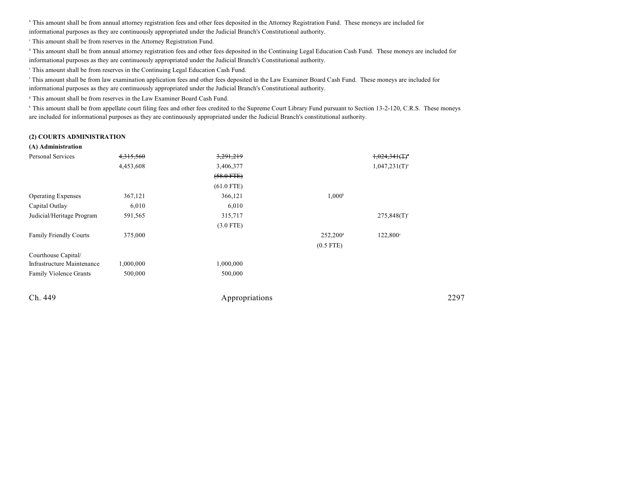<sup>b</sup> This amount shall be from annual attorney registration fees and other fees deposited in the Attorney Registration Fund. These moneys are included for informational purposes as they are continuously appropriated under the Judicial Branch's Constitutional authority.

This amount shall be from reserves in the Attorney Registration Fund. <sup>c</sup>

<sup>d</sup> This amount shall be from annual attorney registration fees and other fees deposited in the Continuing Legal Education Cash Fund. These moneys are included for

informational purposes as they are continuously appropriated under the Judicial Branch's Constitutional authority.

 $\degree$  This amount shall be from reserves in the Continuing Legal Education Cash Fund.

<sup>r</sup> This amount shall be from law examination application fees and other fees deposited in the Law Examiner Board Cash Fund. These moneys are included for informational purposes as they are continuously appropriated under the Judicial Branch's Constitutional authority.

<sup>8</sup> This amount shall be from reserves in the Law Examiner Board Cash Fund.

<sup>h</sup> This amount shall be from appellate court filing fees and other fees credited to the Supreme Court Library Fund pursuant to Section 13-2-120, C.R.S. These moneys are included for informational purposes as they are continuously appropriated under the Judicial Branch's constitutional authority.

#### **(2) COURTS ADMINISTRATION**

#### **(A) Administration**

| Personal Services             | 4,315,560 | 3,291,219      |                   | $1,024,341$ (T) <sup>*</sup> |      |
|-------------------------------|-----------|----------------|-------------------|------------------------------|------|
|                               | 4,453,608 | 3,406,377      |                   | $1,047,231(T)^{a}$           |      |
|                               |           | $(58.0$ FTE)   |                   |                              |      |
|                               |           | $(61.0$ FTE)   |                   |                              |      |
| <b>Operating Expenses</b>     | 367,121   | 366,121        | $1,000^{\rm b}$   |                              |      |
| Capital Outlay                | 6,010     | 6,010          |                   |                              |      |
| Judicial/Heritage Program     | 591,565   | 315,717        |                   | $275,848(T)$ °               |      |
|                               |           | $(3.0$ FTE)    |                   |                              |      |
| <b>Family Friendly Courts</b> | 375,000   |                | $252,200^{\circ}$ | 122,800°                     |      |
|                               |           |                | $(0.5$ FTE)       |                              |      |
| Courthouse Capital/           |           |                |                   |                              |      |
| Infrastructure Maintenance    | 1,000,000 | 1,000,000      |                   |                              |      |
| <b>Family Violence Grants</b> | 500,000   | 500,000        |                   |                              |      |
| Ch. 449                       |           | Appropriations |                   |                              | 2297 |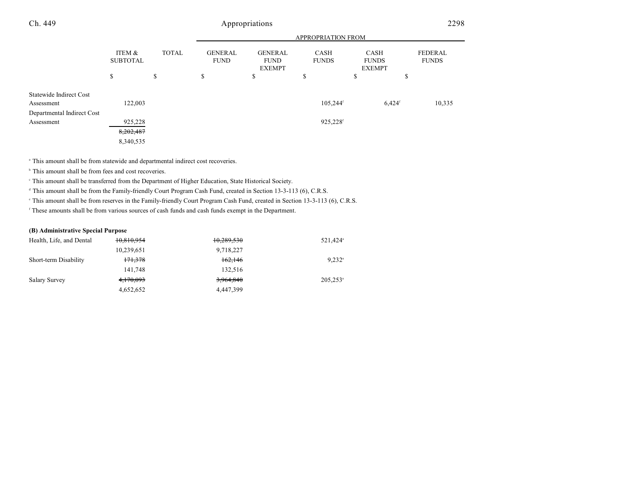|                                       |                           |              | <b>APPROPRIATION FROM</b>     |                                                |                             |                                       |                                |  |
|---------------------------------------|---------------------------|--------------|-------------------------------|------------------------------------------------|-----------------------------|---------------------------------------|--------------------------------|--|
|                                       | ITEM &<br><b>SUBTOTAL</b> | <b>TOTAL</b> | <b>GENERAL</b><br><b>FUND</b> | <b>GENERAL</b><br><b>FUND</b><br><b>EXEMPT</b> | <b>CASH</b><br><b>FUNDS</b> | CASH<br><b>FUNDS</b><br><b>EXEMPT</b> | <b>FEDERAL</b><br><b>FUNDS</b> |  |
|                                       | \$                        | \$           | \$                            | \$                                             | \$                          | \$                                    | \$                             |  |
| Statewide Indirect Cost<br>Assessment | 122,003                   |              |                               |                                                | 105,244 <sup>f</sup>        | $6,424$ <sup>f</sup>                  | 10,335                         |  |
| Departmental Indirect Cost            |                           |              |                               |                                                |                             |                                       |                                |  |
| Assessment                            | 925,228                   |              |                               |                                                | 925,228f                    |                                       |                                |  |
|                                       | 8,202,487                 |              |                               |                                                |                             |                                       |                                |  |
|                                       | 8,340,535                 |              |                               |                                                |                             |                                       |                                |  |

<sup>a</sup> This amount shall be from statewide and departmental indirect cost recoveries.

 $\,^{\circ}$  This amount shall be from fees and cost recoveries.

This amount shall be transferred from the Department of Higher Education, State Historical Society.

<sup>d</sup> This amount shall be from the Family-friendly Court Program Cash Fund, created in Section 13-3-113 (6), C.R.S.

This amount shall be from reserves in the Family-friendly Court Program Cash Fund, created in Section 13-3-113 (6), C.R.S.

These amounts shall be from various sources of cash funds and cash funds exempt in the Department. <sup>f</sup>

#### **(B) Administrative Special Purpose**

| Health, Life, and Dental | 10,810,954 | 10,289,530 | 521.424 <sup>a</sup>   |
|--------------------------|------------|------------|------------------------|
|                          | 10,239,651 | 9,718,227  |                        |
| Short-term Disability    | 171,378    | 162,146    | $9.232$ <sup>a</sup>   |
|                          | 141.748    | 132.516    |                        |
| Salary Survey            | 4,170,093  | 3,964,840  | $205,253$ <sup>a</sup> |
|                          | 4,652,652  | 4.447.399  |                        |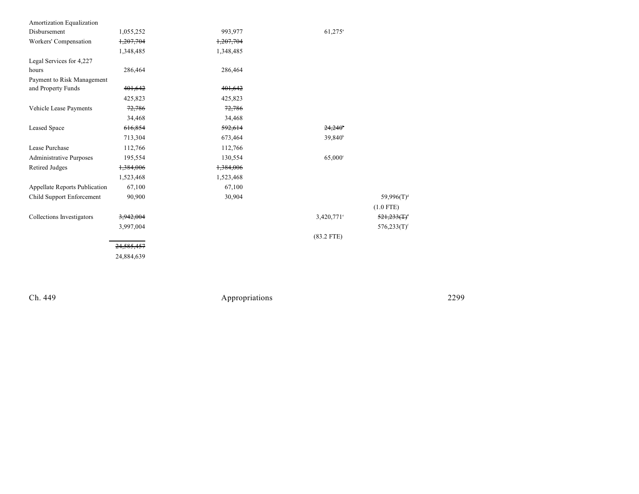| Amortization Equalization      |                       |           |                     |                            |
|--------------------------------|-----------------------|-----------|---------------------|----------------------------|
| Disbursement                   | 1,055,252             | 993,977   | 61,275 <sup>a</sup> |                            |
| Workers' Compensation          | 1,207,704             | 1,207,704 |                     |                            |
|                                | 1,348,485             | 1,348,485 |                     |                            |
| Legal Services for 4,227       |                       |           |                     |                            |
| hours                          | 286,464               | 286,464   |                     |                            |
| Payment to Risk Management     |                       |           |                     |                            |
| and Property Funds             | 401,642               | 401,642   |                     |                            |
|                                | 425,823               | 425,823   |                     |                            |
| Vehicle Lease Payments         | 72,786                | 72,786    |                     |                            |
|                                | 34,468                | 34,468    |                     |                            |
| <b>Leased Space</b>            | 616,854               | 592,614   | $24,240^{\circ}$    |                            |
|                                | 713,304               | 673,464   | 39,840 <sup>b</sup> |                            |
| Lease Purchase                 | 112,766               | 112,766   |                     |                            |
| <b>Administrative Purposes</b> | 195,554               | 130,554   | $65,000^{\circ}$    |                            |
| Retired Judges                 | 1,384,006             | 1,384,006 |                     |                            |
|                                | 1,523,468             | 1,523,468 |                     |                            |
| Appellate Reports Publication  | 67,100                | 67,100    |                     |                            |
| Child Support Enforcement      | 90,900                | 30,904    |                     | 59,996 $(T)^d$             |
|                                |                       |           |                     | $(1.0$ FTE)                |
| Collections Investigators      | 3,942,004             |           | $3,420,771$ °       | $521,233($ T) <sup>e</sup> |
|                                | 3,997,004             |           |                     | $576,233(T)$ <sup>f</sup>  |
|                                |                       |           | $(83.2$ FTE)        |                            |
|                                | <del>24,585,457</del> |           |                     |                            |
|                                | 24,884,639            |           |                     |                            |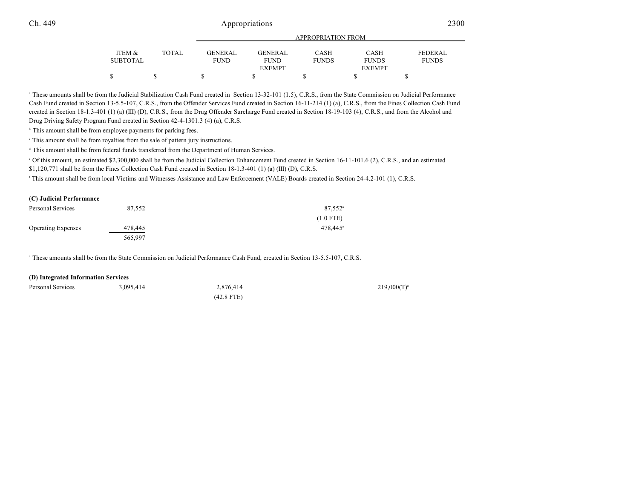|                 |              | APPROPRIATION FROM |                |              |               |                |  |
|-----------------|--------------|--------------------|----------------|--------------|---------------|----------------|--|
| ITEM &          | <b>TOTAL</b> | <b>GENERAL</b>     | <b>GENERAL</b> | <b>CASH</b>  | <b>CASH</b>   | <b>FEDERAL</b> |  |
| <b>SUBTOTAL</b> |              | <b>FUND</b>        | <b>FUND</b>    | <b>FUNDS</b> | <b>FUNDS</b>  | <b>FUNDS</b>   |  |
|                 |              |                    | <b>EXEMPT</b>  |              | <b>EXEMPT</b> |                |  |
| \$              |              |                    |                |              |               |                |  |

<sup>a</sup> These amounts shall be from the Judicial Stabilization Cash Fund created in Section 13-32-101 (1.5), C.R.S., from the State Commission on Judicial Performance Cash Fund created in Section 13-5.5-107, C.R.S., from the Offender Services Fund created in Section 16-11-214 (1) (a), C.R.S., from the Fines Collection Cash Fund created in Section 18-1.3-401 (1) (a) (III) (D), C.R.S., from the Drug Offender Surcharge Fund created in Section 18-19-103 (4), C.R.S., and from the Alcohol and Drug Driving Safety Program Fund created in Section 42-4-1301.3 (4) (a), C.R.S.

 $\,^{\circ}$  This amount shall be from employee payments for parking fees.

This amount shall be from royalties from the sale of pattern jury instructions. <sup>c</sup>

<sup>d</sup> This amount shall be from federal funds transferred from the Department of Human Services.

 $\degree$  Of this amount, an estimated \$2,300,000 shall be from the Judicial Collection Enhancement Fund created in Section 16-11-101.6 (2), C.R.S., and an estimated

\$1,120,771 shall be from the Fines Collection Cash Fund created in Section 18-1.3-401 (1) (a) (III) (D), C.R.S.

This amount shall be from local Victims and Witnesses Assistance and Law Enforcement (VALE) Boards created in Section 24-4.2-101 (1), C.R.S.

#### **(C) Judicial Performance**

| Personal Services         | 87.552  | $87.552$ <sup>a</sup> |
|---------------------------|---------|-----------------------|
|                           |         | $(1.0$ FTE)           |
| <b>Operating Expenses</b> | 478,445 | $478.445^{\circ}$     |
|                           | 565,997 |                       |

<sup>a</sup> These amounts shall be from the State Commission on Judicial Performance Cash Fund, created in Section 13-5.5-107, C.R.S.

#### **(D) Integrated Information Services**

| Personal Services | 3.095.414 | 2.876.414 | $219,000(T)^{3}$ |
|-------------------|-----------|-----------|------------------|
|                   |           |           |                  |

(42.8 FTE)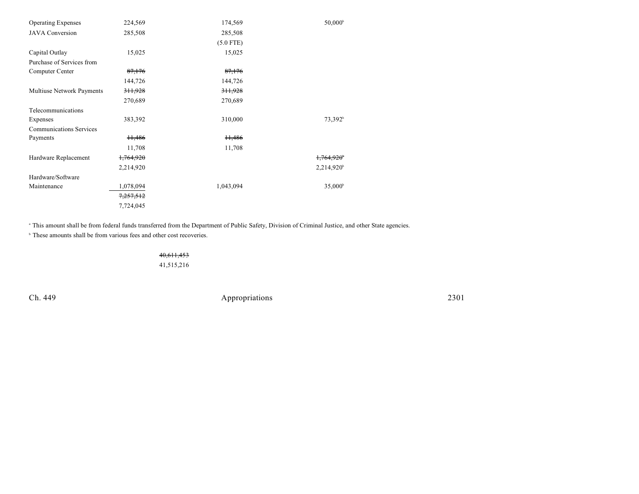| <b>Operating Expenses</b>      | 224,569              | 174,569            | 50,000 <sup>b</sup>    |
|--------------------------------|----------------------|--------------------|------------------------|
| <b>JAVA</b> Conversion         | 285,508              | 285,508            |                        |
|                                |                      | $(5.0$ FTE)        |                        |
| Capital Outlay                 | 15,025               | 15,025             |                        |
| Purchase of Services from      |                      |                    |                        |
| Computer Center                | 87,176               | 87,176             |                        |
|                                | 144,726              | 144,726            |                        |
| Multiuse Network Payments      | 311,928              | 311,928            |                        |
|                                | 270,689              | 270,689            |                        |
| Telecommunications             |                      |                    |                        |
| Expenses                       | 383,392              | 310,000            | 73,392 <sup>b</sup>    |
| <b>Communications Services</b> |                      |                    |                        |
| Payments                       | H <sub>3</sub> 486   | H <sub>3</sub> 486 |                        |
|                                | 11,708               | 11,708             |                        |
| Hardware Replacement           | <del>1,764,920</del> |                    | <del>1.764.920</del> ° |
|                                | 2,214,920            |                    | 2,214,920 <sup>b</sup> |
| Hardware/Software              |                      |                    |                        |
| Maintenance                    | 1,078,094            | 1,043,094          | $35,000^{\circ}$       |
|                                | 7,257,512            |                    |                        |
|                                | 7,724,045            |                    |                        |

This amount shall be from federal funds transferred from the Department of Public Safety, Division of Criminal Justice, and other State agencies.

 $\,^{\circ}$  These amounts shall be from various fees and other cost recoveries.

40,611,453 41,515,216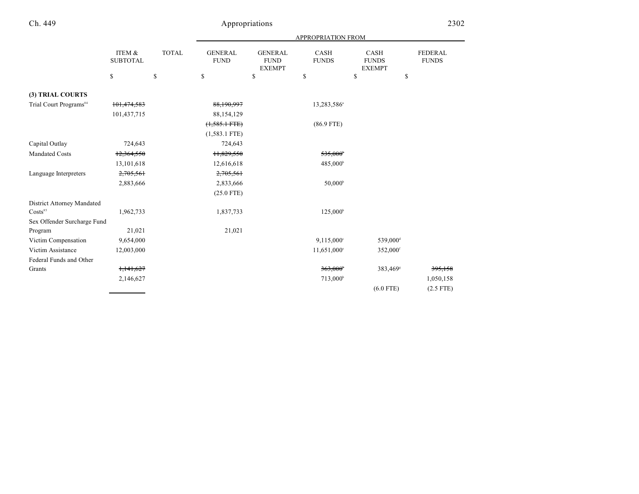## Appropriations 2302

|                                    |                           |              | <b>APPROPRIATION FROM</b>     |                                                |                         |                                              |                                |  |
|------------------------------------|---------------------------|--------------|-------------------------------|------------------------------------------------|-------------------------|----------------------------------------------|--------------------------------|--|
|                                    | ITEM &<br><b>SUBTOTAL</b> | <b>TOTAL</b> | <b>GENERAL</b><br><b>FUND</b> | <b>GENERAL</b><br><b>FUND</b><br><b>EXEMPT</b> | CASH<br><b>FUNDS</b>    | <b>CASH</b><br><b>FUNDS</b><br><b>EXEMPT</b> | <b>FEDERAL</b><br><b>FUNDS</b> |  |
|                                    | $\mathbb{S}$              | \$           | $\mathbb{S}$                  | \$                                             | \$                      | \$<br>\$                                     |                                |  |
| (3) TRIAL COURTS                   |                           |              |                               |                                                |                         |                                              |                                |  |
| Trial Court Programs <sup>84</sup> | 101,474,583               |              | 88,190,997                    |                                                | 13,283,586 <sup>a</sup> |                                              |                                |  |
|                                    | 101,437,715               |              | 88,154,129                    |                                                |                         |                                              |                                |  |
|                                    |                           |              | $(1,585.1$ FTE)               |                                                | $(86.9$ FTE)            |                                              |                                |  |
|                                    |                           |              | $(1,583.1$ FTE)               |                                                |                         |                                              |                                |  |
| Capital Outlay                     | 724,643                   |              | 724,643                       |                                                |                         |                                              |                                |  |
| <b>Mandated Costs</b>              | 12,364,550                |              | 11,829,550                    |                                                | $535,000^{\circ}$       |                                              |                                |  |
|                                    | 13,101,618                |              | 12,616,618                    |                                                | 485,000 <sup>b</sup>    |                                              |                                |  |
| Language Interpreters              | 2,705,561                 |              | 2,705,561                     |                                                |                         |                                              |                                |  |
|                                    | 2,883,666                 |              | 2,833,666                     |                                                | 50,000 <sup>b</sup>     |                                              |                                |  |
|                                    |                           |              | $(25.0$ FTE)                  |                                                |                         |                                              |                                |  |
| District Attorney Mandated         |                           |              |                               |                                                |                         |                                              |                                |  |
| $Costs$ <sup>85</sup>              | 1,962,733                 |              | 1,837,733                     |                                                | $125,000^{\circ}$       |                                              |                                |  |
| Sex Offender Surcharge Fund        |                           |              |                               |                                                |                         |                                              |                                |  |
| Program                            | 21,021                    |              | 21,021                        |                                                |                         |                                              |                                |  |
| Victim Compensation                | 9,654,000                 |              |                               |                                                | $9,115,000^{\circ}$     | 539,000 <sup>d</sup>                         |                                |  |
| Victim Assistance                  | 12,003,000                |              |                               |                                                | 11,651,000°             | 352,000 <sup>f</sup>                         |                                |  |
| Federal Funds and Other            |                           |              |                               |                                                |                         |                                              |                                |  |
| Grants                             | 1,141,627                 |              |                               |                                                | $363,000^{\circ}$       | 383,469 <sup>s</sup>                         | 395,158                        |  |
|                                    | 2,146,627                 |              |                               |                                                | 713,000 <sup>b</sup>    |                                              | 1,050,158                      |  |
|                                    |                           |              |                               |                                                |                         | $(6.0$ FTE)                                  | $(2.5$ FTE)                    |  |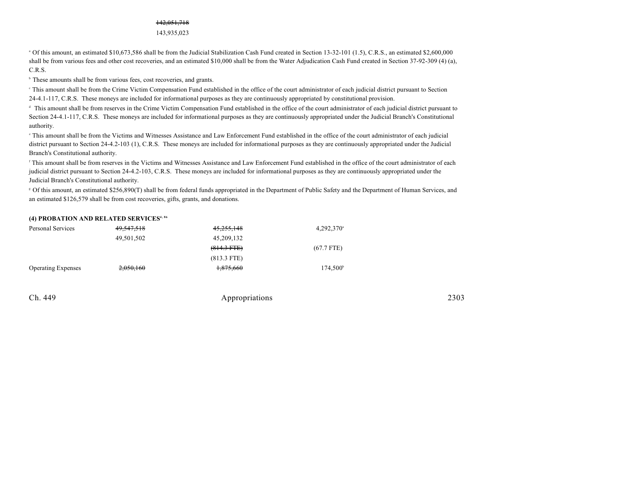#### 142,051,718

143,935,023

 Of this amount, an estimated \$10,673,586 shall be from the Judicial Stabilization Cash Fund created in Section 13-32-101 (1.5), C.R.S., an estimated \$2,600,000 <sup>a</sup> shall be from various fees and other cost recoveries, and an estimated \$10,000 shall be from the Water Adjudication Cash Fund created in Section 37-92-309 (4) (a), C.R.S.

<sup>b</sup> These amounts shall be from various fees, cost recoveries, and grants.

 This amount shall be from the Crime Victim Compensation Fund established in the office of the court administrator of each judicial district pursuant to Section <sup>c</sup> 24-4.1-117, C.R.S. These moneys are included for informational purposes as they are continuously appropriated by constitutional provision.

 This amount shall be from reserves in the Crime Victim Compensation Fund established in the office of the court administrator of each judicial district pursuant to d Section 24-4.1-117, C.R.S. These moneys are included for informational purposes as they are continuously appropriated under the Judicial Branch's Constitutional authority.

 This amount shall be from the Victims and Witnesses Assistance and Law Enforcement Fund established in the office of the court administrator of each judicial <sup>e</sup> district pursuant to Section 24-4.2-103 (1), C.R.S. These moneys are included for informational purposes as they are continuously appropriated under the Judicial Branch's Constitutional authority.

<sup>f</sup> This amount shall be from reserves in the Victims and Witnesses Assistance and Law Enforcement Fund established in the office of the court administrator of each judicial district pursuant to Section 24-4.2-103, C.R.S. These moneys are included for informational purposes as they are continuously appropriated under the Judicial Branch's Constitutional authority.

 Of this amount, an estimated \$256,890(T) shall be from federal funds appropriated in the Department of Public Safety and the Department of Human Services, and <sup>g</sup> an estimated \$126,579 shall be from cost recoveries, gifts, grants, and donations.

#### **(4) PROBATION AND RELATED SERVICES4, 86**

| Personal Services         | 49,547,518 | 45,255,148    | $4,292,370^{\circ}$ |
|---------------------------|------------|---------------|---------------------|
|                           | 49,501,502 | 45,209,132    |                     |
|                           |            | $(814.3$ FTE) | $(67.7$ FTE)        |
|                           |            | $(813.3$ FTE) |                     |
| <b>Operating Expenses</b> | 2,050,160  | 1,875,660     | $174.500^{\circ}$   |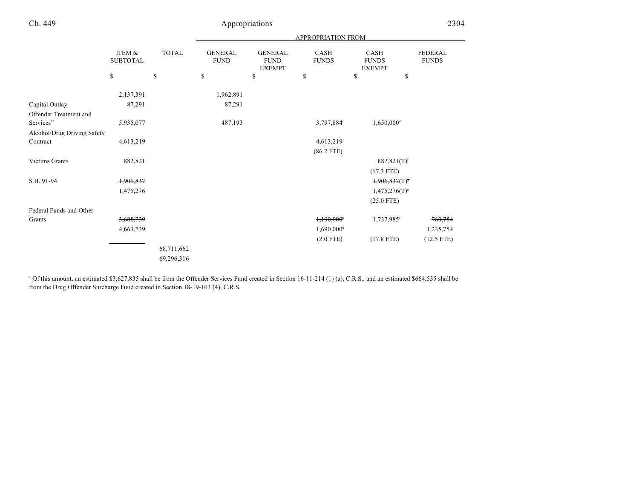|                             |                           |              | APPROPRIATION FROM            |                                                |                             |                                       |                                |
|-----------------------------|---------------------------|--------------|-------------------------------|------------------------------------------------|-----------------------------|---------------------------------------|--------------------------------|
|                             | ITEM &<br><b>SUBTOTAL</b> | <b>TOTAL</b> | <b>GENERAL</b><br><b>FUND</b> | <b>GENERAL</b><br><b>FUND</b><br><b>EXEMPT</b> | <b>CASH</b><br><b>FUNDS</b> | CASH<br><b>FUNDS</b><br><b>EXEMPT</b> | <b>FEDERAL</b><br><b>FUNDS</b> |
|                             | $\mathbb{S}$              | \$           | \$                            | \$                                             | \$                          | \$<br>\$                              |                                |
|                             | 2,137,391                 |              | 1,962,891                     |                                                |                             |                                       |                                |
| Capital Outlay              | 87,291                    |              | 87,291                        |                                                |                             |                                       |                                |
| Offender Treatment and      |                           |              |                               |                                                |                             |                                       |                                |
| Services <sup>87</sup>      | 5,935,077                 |              | 487,193                       |                                                | 3,797,884°                  | $1,650,000$ <sup>d</sup>              |                                |
| Alcohol/Drug Driving Safety |                           |              |                               |                                                |                             |                                       |                                |
| Contract                    | 4,613,219                 |              |                               |                                                | $4,613,219$ °               |                                       |                                |
|                             |                           |              |                               |                                                | $(86.2$ FTE)                |                                       |                                |
| Victims Grants              | 882,821                   |              |                               |                                                |                             | $882,821(T)^f$                        |                                |
|                             |                           |              |                               |                                                |                             | $(17.3$ FTE)                          |                                |
| S.B. 91-94                  | 1,906,837                 |              |                               |                                                |                             | $1,906,837(T)^*$                      |                                |
|                             | 1,475,276                 |              |                               |                                                |                             | $1,475,276(T)^{s}$                    |                                |
|                             |                           |              |                               |                                                |                             | $(25.0$ FTE)                          |                                |
| Federal Funds and Other     |                           |              |                               |                                                |                             |                                       |                                |
| Grants                      | 3,688,739                 |              |                               |                                                | 1,190,000*                  | 1,737,985                             | 760,754                        |
|                             | 4,663,739                 |              |                               |                                                | $1,690,000$ <sup>h</sup>    |                                       | 1,235,754                      |
|                             |                           |              |                               |                                                | $(2.0$ FTE)                 | $(17.8$ FTE)                          | $(12.5$ FTE)                   |
|                             |                           | 68, 711, 662 |                               |                                                |                             |                                       |                                |
|                             |                           | 69,296,316   |                               |                                                |                             |                                       |                                |
|                             |                           |              |                               |                                                |                             |                                       |                                |

<sup>a</sup> Of this amount, an estimated \$3,627,835 shall be from the Offender Services Fund created in Section 16-11-214 (1) (a), C.R.S., and an estimated \$664,535 shall be from the Drug Offender Surcharge Fund created in Section 18-19-103 (4), C.R.S.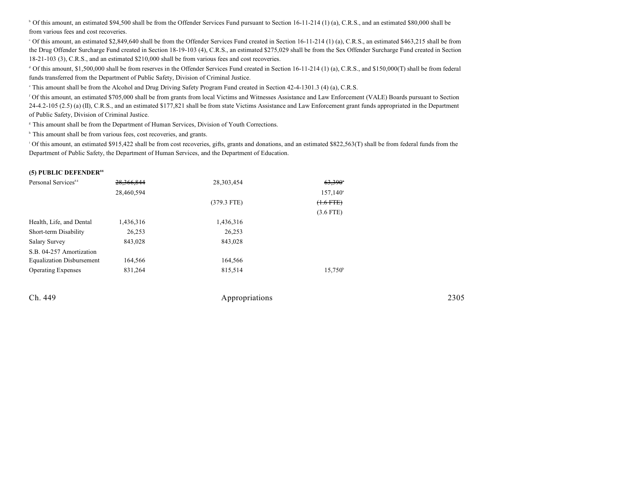<sup>b</sup> Of this amount, an estimated \$94,500 shall be from the Offender Services Fund pursuant to Section 16-11-214 (1) (a), C.R.S., and an estimated \$80,000 shall be from various fees and cost recoveries.

 $\degree$  Of this amount, an estimated \$2,849,640 shall be from the Offender Services Fund created in Section 16-11-214 (1) (a), C.R.S., an estimated \$463,215 shall be from the Drug Offender Surcharge Fund created in Section 18-19-103 (4), C.R.S., an estimated \$275,029 shall be from the Sex Offender Surcharge Fund created in Section 18-21-103 (3), C.R.S., and an estimated \$210,000 shall be from various fees and cost recoveries.

<sup>d</sup> Of this amount, \$1,500,000 shall be from reserves in the Offender Services Fund created in Section 16-11-214 (1) (a), C.R.S., and \$150,000(T) shall be from federal funds transferred from the Department of Public Safety, Division of Criminal Justice.

<sup>e</sup> This amount shall be from the Alcohol and Drug Driving Safety Program Fund created in Section 42-4-1301.3 (4) (a), C.R.S.

 Of this amount, an estimated \$705,000 shall be from grants from local Victims and Witnesses Assistance and Law Enforcement (VALE) Boards pursuant to Section <sup>f</sup> 24-4.2-105 (2.5) (a) (II), C.R.S., and an estimated \$177,821 shall be from state Victims Assistance and Law Enforcement grant funds appropriated in the Department of Public Safety, Division of Criminal Justice.

<sup>g</sup> This amount shall be from the Department of Human Services, Division of Youth Corrections.

 $h$  This amount shall be from various fees, cost recoveries, and grants.

<sup>1</sup> Of this amount, an estimated \$915,422 shall be from cost recoveries, gifts, grants and donations, and an estimated \$822,563(T) shall be from federal funds from the Department of Public Safety, the Department of Human Services, and the Department of Education.

#### **(5) PUBLIC DEFENDER<sup>88</sup>**

| Personal Services <sup>84</sup>  | 28.366.844 | 28,303,454    | $63,390$ <sup>*</sup> |
|----------------------------------|------------|---------------|-----------------------|
|                                  | 28,460,594 |               | $157,140^{\circ}$     |
|                                  |            | $(379.3$ FTE) | $(+.6$ FTE $)$        |
|                                  |            |               | $(3.6$ FTE)           |
| Health, Life, and Dental         | 1,436,316  | 1,436,316     |                       |
| Short-term Disability            | 26,253     | 26,253        |                       |
| <b>Salary Survey</b>             | 843.028    | 843,028       |                       |
| S.B. 04-257 Amortization         |            |               |                       |
| <b>Equalization Disbursement</b> | 164,566    | 164,566       |                       |
| <b>Operating Expenses</b>        | 831,264    | 815,514       | $15,750^{\circ}$      |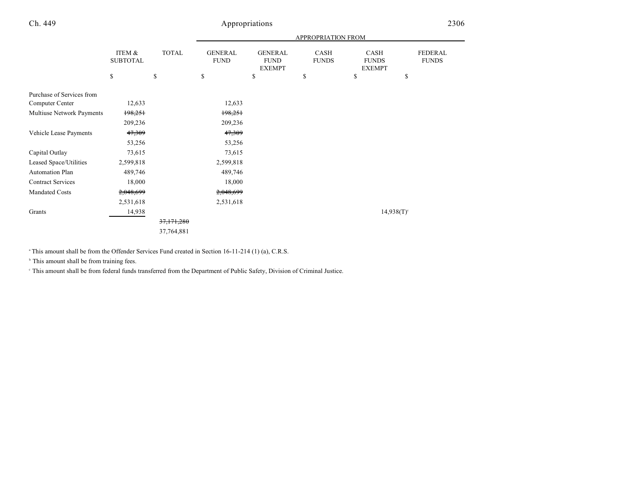|                           |                           |              | <b>APPROPRIATION FROM</b>     |                                                |                      |                                       |                                |
|---------------------------|---------------------------|--------------|-------------------------------|------------------------------------------------|----------------------|---------------------------------------|--------------------------------|
|                           | ITEM &<br><b>SUBTOTAL</b> | <b>TOTAL</b> | <b>GENERAL</b><br><b>FUND</b> | <b>GENERAL</b><br><b>FUND</b><br><b>EXEMPT</b> | CASH<br><b>FUNDS</b> | CASH<br><b>FUNDS</b><br><b>EXEMPT</b> | <b>FEDERAL</b><br><b>FUNDS</b> |
|                           | \$                        | \$           | \$                            | \$                                             | \$                   | \$                                    | \$                             |
| Purchase of Services from |                           |              |                               |                                                |                      |                                       |                                |
| Computer Center           | 12,633                    |              | 12,633                        |                                                |                      |                                       |                                |
| Multiuse Network Payments | 198,251                   |              | 198,251                       |                                                |                      |                                       |                                |
|                           | 209,236                   |              | 209,236                       |                                                |                      |                                       |                                |
| Vehicle Lease Payments    | 47,309                    |              | 47,309                        |                                                |                      |                                       |                                |
|                           | 53,256                    |              | 53,256                        |                                                |                      |                                       |                                |
| Capital Outlay            | 73,615                    |              | 73,615                        |                                                |                      |                                       |                                |
| Leased Space/Utilities    | 2,599,818                 |              | 2,599,818                     |                                                |                      |                                       |                                |
| <b>Automation Plan</b>    | 489,746                   |              | 489,746                       |                                                |                      |                                       |                                |
| <b>Contract Services</b>  | 18,000                    |              | 18,000                        |                                                |                      |                                       |                                |
| <b>Mandated Costs</b>     | 2,048,699                 |              | 2,048,699                     |                                                |                      |                                       |                                |
|                           | 2,531,618                 |              | 2,531,618                     |                                                |                      |                                       |                                |
| Grants                    | 14,938                    |              |                               |                                                |                      | $14,938(T)$ <sup>c</sup>              |                                |
|                           |                           | 37,171,280   |                               |                                                |                      |                                       |                                |
|                           |                           | 37,764,881   |                               |                                                |                      |                                       |                                |

<sup>a</sup> This amount shall be from the Offender Services Fund created in Section 16-11-214 (1) (a), C.R.S.

 $<sup>b</sup>$  This amount shall be from training fees.</sup>

This amount shall be from federal funds transferred from the Department of Public Safety, Division of Criminal Justice. <sup>c</sup>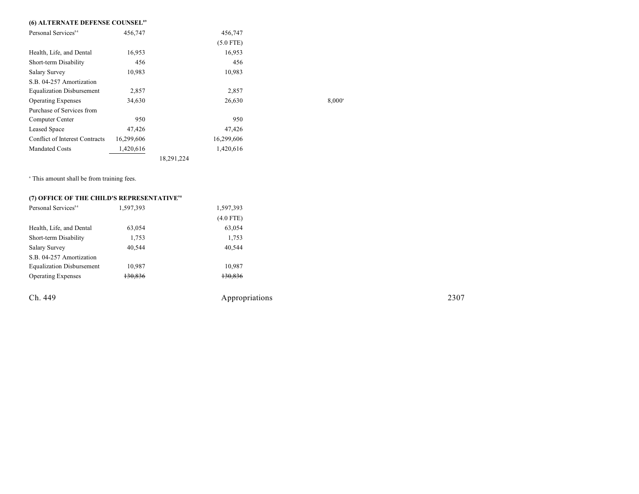## **(6) ALTERNATE DEFENSE COUNSEL<sup>89</sup>**

| Personal Services <sup>84</sup>  | 456,747    |            | 456,747     |                      |
|----------------------------------|------------|------------|-------------|----------------------|
|                                  |            |            | $(5.0$ FTE) |                      |
| Health, Life, and Dental         | 16,953     |            | 16,953      |                      |
| Short-term Disability            | 456        |            | 456         |                      |
| <b>Salary Survey</b>             | 10,983     |            | 10,983      |                      |
| S.B. 04-257 Amortization         |            |            |             |                      |
| <b>Equalization Disbursement</b> | 2,857      |            | 2,857       |                      |
| <b>Operating Expenses</b>        | 34,630     |            | 26,630      | $8.000$ <sup>a</sup> |
| Purchase of Services from        |            |            |             |                      |
| Computer Center                  | 950        |            | 950         |                      |
| Leased Space                     | 47,426     |            | 47,426      |                      |
| Conflict of Interest Contracts   | 16,299,606 |            | 16,299,606  |                      |
| <b>Mandated Costs</b>            | 1,420,616  |            | 1,420,616   |                      |
|                                  |            | 18,291,224 |             |                      |

<sup>a</sup> This amount shall be from training fees.

## **(7) OFFICE OF THE CHILD'S REPRESENTATIVE<sup>90</sup>**

| Personal Services <sup>84</sup>  | 1,597,393 | 1,597,393   |
|----------------------------------|-----------|-------------|
|                                  |           | $(4.0$ FTE) |
| Health, Life, and Dental         | 63,054    | 63,054      |
| Short-term Disability            | 1,753     | 1,753       |
| <b>Salary Survey</b>             | 40,544    | 40,544      |
| S.B. 04-257 Amortization         |           |             |
| <b>Equalization Disbursement</b> | 10,987    | 10,987      |
| <b>Operating Expenses</b>        | 130,836   | 130,836     |
|                                  |           |             |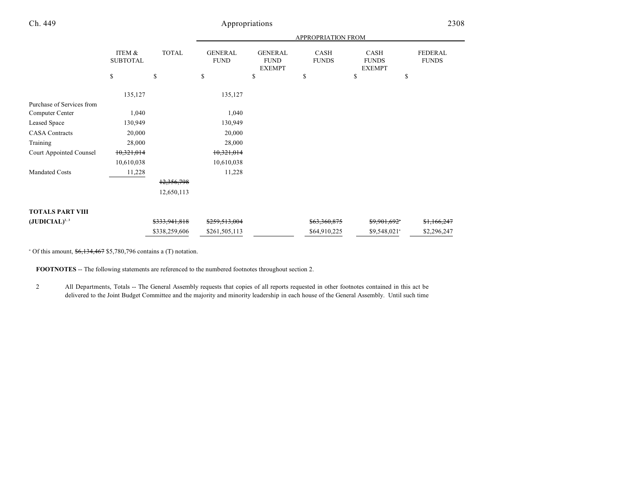|                           |                           |               | <b>APPROPRIATION FROM</b>     |                                                |                      |                                       |                                |
|---------------------------|---------------------------|---------------|-------------------------------|------------------------------------------------|----------------------|---------------------------------------|--------------------------------|
|                           | ITEM &<br><b>SUBTOTAL</b> | <b>TOTAL</b>  | <b>GENERAL</b><br><b>FUND</b> | <b>GENERAL</b><br><b>FUND</b><br><b>EXEMPT</b> | CASH<br><b>FUNDS</b> | CASH<br><b>FUNDS</b><br><b>EXEMPT</b> | <b>FEDERAL</b><br><b>FUNDS</b> |
|                           | \$                        | \$            | \$                            | \$                                             | \$                   | \$                                    | \$                             |
|                           | 135,127                   |               | 135,127                       |                                                |                      |                                       |                                |
| Purchase of Services from |                           |               |                               |                                                |                      |                                       |                                |
| Computer Center           | 1,040                     |               | 1,040                         |                                                |                      |                                       |                                |
| Leased Space              | 130,949                   |               | 130,949                       |                                                |                      |                                       |                                |
| <b>CASA</b> Contracts     | 20,000                    |               | 20,000                        |                                                |                      |                                       |                                |
| Training                  | 28,000                    |               | 28,000                        |                                                |                      |                                       |                                |
| Court Appointed Counsel   | 10,321,014                |               | 10,321,014                    |                                                |                      |                                       |                                |
|                           | 10,610,038                |               | 10,610,038                    |                                                |                      |                                       |                                |
| <b>Mandated Costs</b>     | 11,228                    |               | 11,228                        |                                                |                      |                                       |                                |
|                           |                           | 12,356,798    |                               |                                                |                      |                                       |                                |
|                           |                           | 12,650,113    |                               |                                                |                      |                                       |                                |
|                           |                           |               |                               |                                                |                      |                                       |                                |
| <b>TOTALS PART VIII</b>   |                           |               |                               |                                                |                      |                                       |                                |
| $(JUDICIAL)^{2,3}$        |                           | \$333,941,818 | \$259,513,004                 |                                                | \$63,360,875         | \$9,901,692*                          | \$1,166,247                    |
|                           |                           | \$338,259,606 | \$261,505,113                 |                                                | \$64,910,225         | \$9,548,021 <sup>a</sup>              | \$2,296,247                    |

 $^{\circ}$  Of this amount,  $$6,134,467$  \$5,780,796 contains a (T) notation.

**FOOTNOTES** -- The following statements are referenced to the numbered footnotes throughout section 2.

2 All Departments, Totals -- The General Assembly requests that copies of all reports requested in other footnotes contained in this act be delivered to the Joint Budget Committee and the majority and minority leadership in each house of the General Assembly. Until such time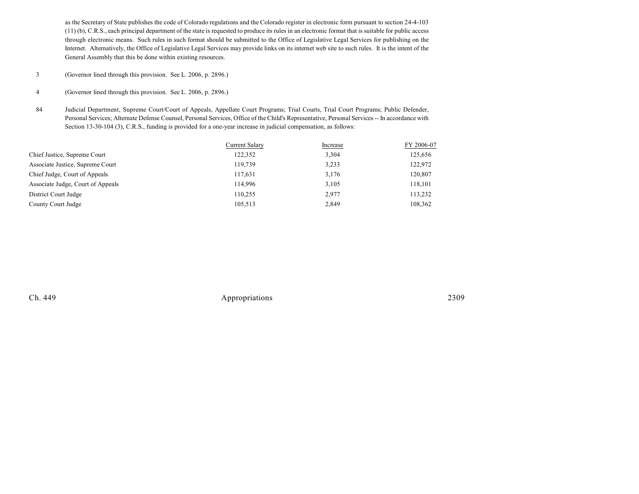as the Secretary of State publishes the code of Colorado regulations and the Colorado register in electronic form pursuant to section 24-4-103 (11) (b), C.R.S., each principal department of the state is requested to produce its rules in an electronic format that is suitable for public access through electronic means. Such rules in such format should be submitted to the Office of Legislative Legal Services for publishing on the Internet. Alternatively, the Office of Legislative Legal Services may provide links on its internet web site to such rules. It is the intent of the General Assembly that this be done within existing resources.

- 3 (Governor lined through this provision. See L. 2006, p. 2896.)
- 4 (Governor lined through this provision. See L. 2006, p. 2896.)
- 84 Judicial Department, Supreme Court/Court of Appeals, Appellate Court Programs; Trial Courts, Trial Court Programs; Public Defender, Personal Services; Alternate Defense Counsel, Personal Services, Office of the Child's Representative, Personal Services -- In accordance with Section 13-30-104 (3), C.R.S., funding is provided for a one-year increase in judicial compensation, as follows:

|                                   | Current Salary | Increase | FY 2006-07 |
|-----------------------------------|----------------|----------|------------|
| Chief Justice, Supreme Court      | 122,352        | 3,304    | 125,656    |
| Associate Justice, Supreme Court  | 119.739        | 3,233    | 122,972    |
| Chief Judge, Court of Appeals     | 117,631        | 3,176    | 120,807    |
| Associate Judge, Court of Appeals | 114.996        | 3,105    | 118,101    |
| District Court Judge              | 110.255        | 2,977    | 113,232    |
| County Court Judge                | 105,513        | 2.849    | 108,362    |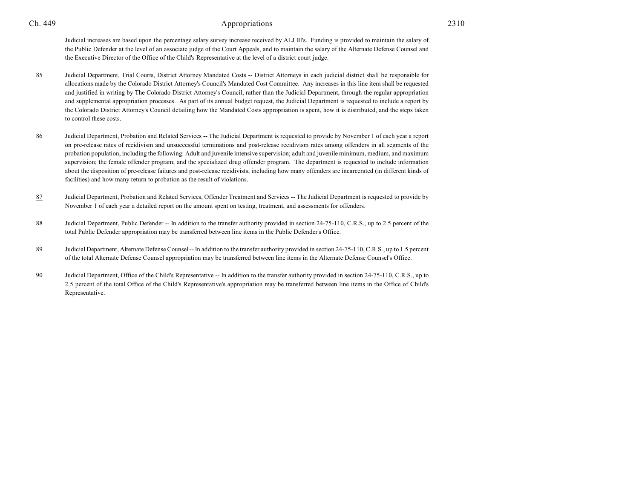Judicial increases are based upon the percentage salary survey increase received by ALJ III's. Funding is provided to maintain the salary of the Public Defender at the level of an associate judge of the Court Appeals, and to maintain the salary of the Alternate Defense Counsel and the Executive Director of the Office of the Child's Representative at the level of a district court judge.

- 85 Judicial Department, Trial Courts, District Attorney Mandated Costs -- District Attorneys in each judicial district shall be responsible for allocations made by the Colorado District Attorney's Council's Mandated Cost Committee. Any increases in this line item shall be requested and justified in writing by The Colorado District Attorney's Council, rather than the Judicial Department, through the regular appropriation and supplemental appropriation processes. As part of its annual budget request, the Judicial Department is requested to include a report by the Colorado District Attorney's Council detailing how the Mandated Costs appropriation is spent, how it is distributed, and the steps taken to control these costs.
- 86 Judicial Department, Probation and Related Services -- The Judicial Department is requested to provide by November 1 of each year a report on pre-release rates of recidivism and unsuccessful terminations and post-release recidivism rates among offenders in all segments of the probation population, including the following: Adult and juvenile intensive supervision; adult and juvenile minimum, medium, and maximum supervision; the female offender program; and the specialized drug offender program. The department is requested to include information about the disposition of pre-release failures and post-release recidivists, including how many offenders are incarcerated (in different kinds of facilities) and how many return to probation as the result of violations.
- 87 Judicial Department, Probation and Related Services, Offender Treatment and Services -- The Judicial Department is requested to provide by November 1 of each year a detailed report on the amount spent on testing, treatment, and assessments for offenders.
- 88 Judicial Department, Public Defender -- In addition to the transfer authority provided in section 24-75-110, C.R.S., up to 2.5 percent of the total Public Defender appropriation may be transferred between line items in the Public Defender's Office.
- 89 Judicial Department, Alternate Defense Counsel -- In addition to the transfer authority provided in section 24-75-110, C.R.S., up to 1.5 percent of the total Alternate Defense Counsel appropriation may be transferred between line items in the Alternate Defense Counsel's Office.
- 90 Judicial Department, Office of the Child's Representative -- In addition to the transfer authority provided in section 24-75-110, C.R.S., up to 2.5 percent of the total Office of the Child's Representative's appropriation may be transferred between line items in the Office of Child's Representative.